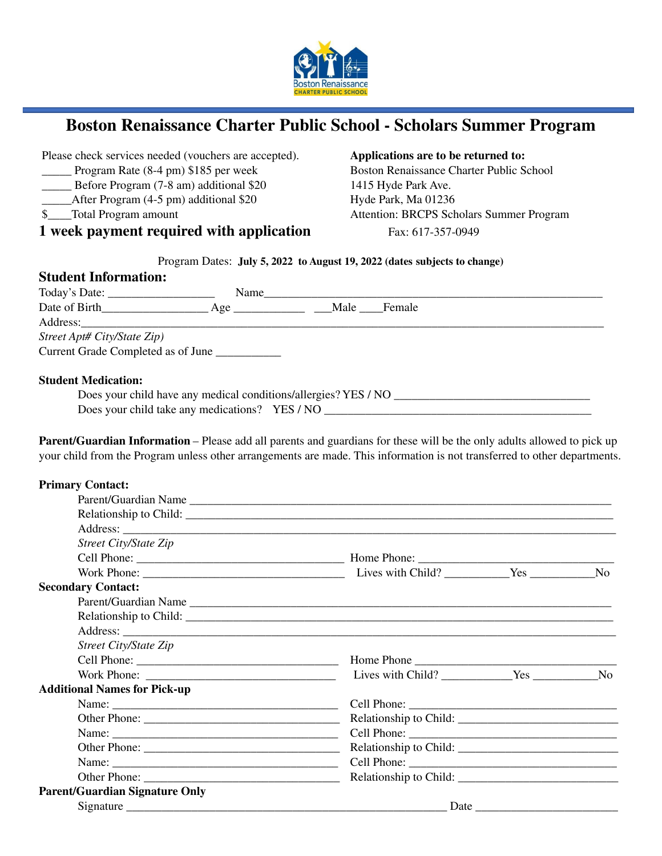

## **Boston Renaissance Charter Public School - Scholars Summer Program**

Please check services needed (vouchers are accepted). **Applications are to be returned to:**

- 
- Before Program (7-8 am) additional \$20 1415 Hyde Park Ave.
- 
- 

## **1 week payment required** with **application** Fax: 617-357-0949

185 per week Boston Renaissance Charter Public School Boston Renaissance Charter Public School After Program (4-5 pm) additional \$20 Hyde Park, Ma 01236<br>
Total Program amount Attention: BRCPS Sch \$\_\_\_\_Total Program amount Attention: BRCPS Scholars Summer Program

### Program Dates: **July 5, 2022 to August 19, 2022 (dates subjects to change)**

| <b>Student Information:</b>        |      |  |  |
|------------------------------------|------|--|--|
|                                    | Name |  |  |
| Date of Birth                      |      |  |  |
|                                    |      |  |  |
| Street Apt# City/State Zip)        |      |  |  |
| Current Grade Completed as of June |      |  |  |
|                                    |      |  |  |
| <b>Student Medication:</b>         |      |  |  |

| Does your child have any medical conditions/allergies? YES / NO |  |
|-----------------------------------------------------------------|--|
| Does your child take any medications? YES / NO                  |  |

**Parent/Guardian Information** – Please add all parents and guardians for these will be the only adults allowed to pick up your child from the Program unless other arrangements are made. This information is not transferred to other departments.

| <b>Primary Contact:</b>               |                        |  |                |  |  |
|---------------------------------------|------------------------|--|----------------|--|--|
|                                       |                        |  |                |  |  |
|                                       |                        |  |                |  |  |
|                                       |                        |  |                |  |  |
| <b>Street City/State Zip</b>          |                        |  |                |  |  |
|                                       |                        |  |                |  |  |
|                                       |                        |  | N <sub>0</sub> |  |  |
| <b>Secondary Contact:</b>             |                        |  |                |  |  |
|                                       | Parent/Guardian Name   |  |                |  |  |
|                                       |                        |  |                |  |  |
|                                       |                        |  |                |  |  |
| <b>Street City/State Zip</b>          |                        |  |                |  |  |
|                                       |                        |  |                |  |  |
|                                       |                        |  |                |  |  |
| <b>Additional Names for Pick-up</b>   |                        |  |                |  |  |
|                                       |                        |  |                |  |  |
|                                       |                        |  |                |  |  |
|                                       |                        |  |                |  |  |
|                                       | Relationship to Child: |  |                |  |  |
|                                       |                        |  |                |  |  |
|                                       |                        |  |                |  |  |
| <b>Parent/Guardian Signature Only</b> |                        |  |                |  |  |
|                                       |                        |  |                |  |  |